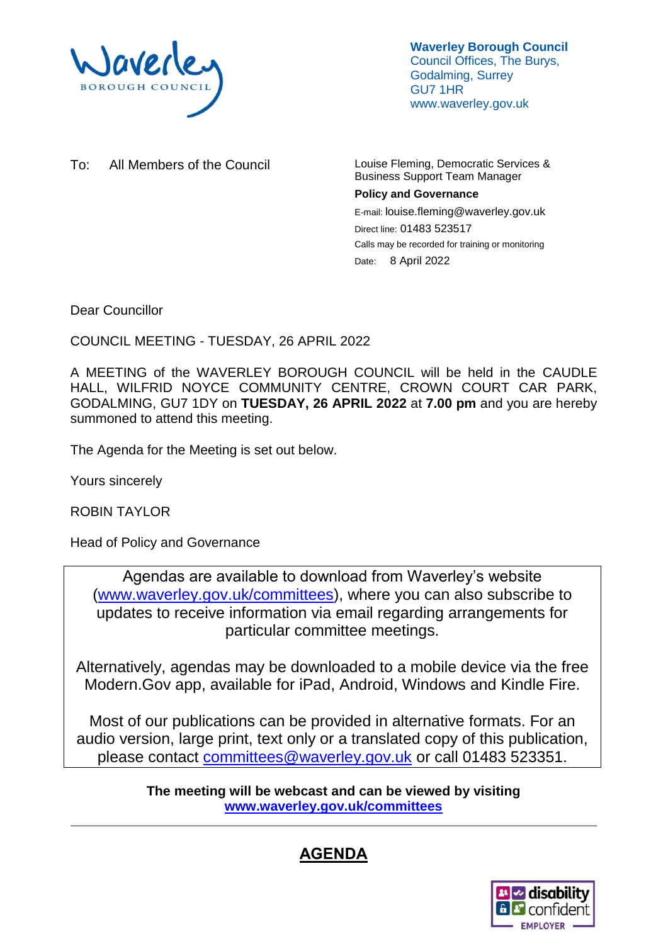

**Waverley Borough Council** Council Offices, The Burys, Godalming, Surrey GU7 1HR www.waverley.gov.uk

To: All Members of the Council Louise Fleming, Democratic Services &

Business Support Team Manager

## **Policy and Governance**

E-mail: louise.fleming@waverley.gov.uk Direct line: 01483 523517 Calls may be recorded for training or monitoring Date: 8 April 2022

Dear Councillor

COUNCIL MEETING - TUESDAY, 26 APRIL 2022

A MEETING of the WAVERLEY BOROUGH COUNCIL will be held in the CAUDLE HALL, WILFRID NOYCE COMMUNITY CENTRE, CROWN COURT CAR PARK, GODALMING, GU7 1DY on **TUESDAY, 26 APRIL 2022** at **7.00 pm** and you are hereby summoned to attend this meeting.

The Agenda for the Meeting is set out below.

Yours sincerely

ROBIN TAYLOR

Head of Policy and Governance

Agendas are available to download from Waverley's website [\(www.waverley.gov.uk/committees\)](http://www.waverley.gov.uk/committees), where you can also subscribe to updates to receive information via email regarding arrangements for particular committee meetings.

Alternatively, agendas may be downloaded to a mobile device via the free Modern.Gov app, available for iPad, Android, Windows and Kindle Fire.

Most of our publications can be provided in alternative formats. For an audio version, large print, text only or a translated copy of this publication, please contact [committees@waverley.gov.uk](mailto:committees@waverley.gov.uk) or call 01483 523351.

> **The meeting will be webcast and can be viewed by visiting [www.waverley.gov.uk/committees](http://www.waverley.gov.uk/committees)**

# **AGENDA**

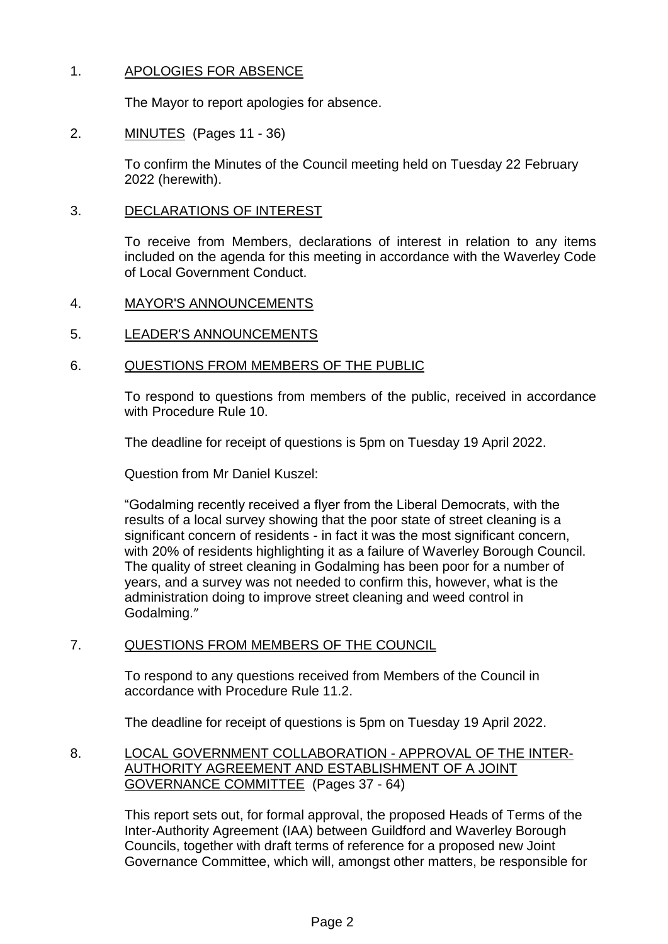# 1. APOLOGIES FOR ABSENCE

The Mayor to report apologies for absence.

# 2. MINUTES (Pages 11 - 36)

To confirm the Minutes of the Council meeting held on Tuesday 22 February 2022 (herewith).

## 3. DECLARATIONS OF INTEREST

To receive from Members, declarations of interest in relation to any items included on the agenda for this meeting in accordance with the Waverley Code of Local Government Conduct.

## 4. MAYOR'S ANNOUNCEMENTS

5. LEADER'S ANNOUNCEMENTS

# 6. QUESTIONS FROM MEMBERS OF THE PUBLIC

To respond to questions from members of the public, received in accordance with Procedure Rule 10.

The deadline for receipt of questions is 5pm on Tuesday 19 April 2022.

Question from Mr Daniel Kuszel:

"Godalming recently received a flyer from the Liberal Democrats, with the results of a local survey showing that the poor state of street cleaning is a significant concern of residents - in fact it was the most significant concern, with 20% of residents highlighting it as a failure of Waverley Borough Council. The quality of street cleaning in Godalming has been poor for a number of years, and a survey was not needed to confirm this, however, what is the administration doing to improve street cleaning and weed control in Godalming."

# 7. QUESTIONS FROM MEMBERS OF THE COUNCIL

To respond to any questions received from Members of the Council in accordance with Procedure Rule 11.2.

The deadline for receipt of questions is 5pm on Tuesday 19 April 2022.

# 8. LOCAL GOVERNMENT COLLABORATION - APPROVAL OF THE INTER-AUTHORITY AGREEMENT AND ESTABLISHMENT OF A JOINT GOVERNANCE COMMITTEE (Pages 37 - 64)

This report sets out, for formal approval, the proposed Heads of Terms of the Inter-Authority Agreement (IAA) between Guildford and Waverley Borough Councils, together with draft terms of reference for a proposed new Joint Governance Committee, which will, amongst other matters, be responsible for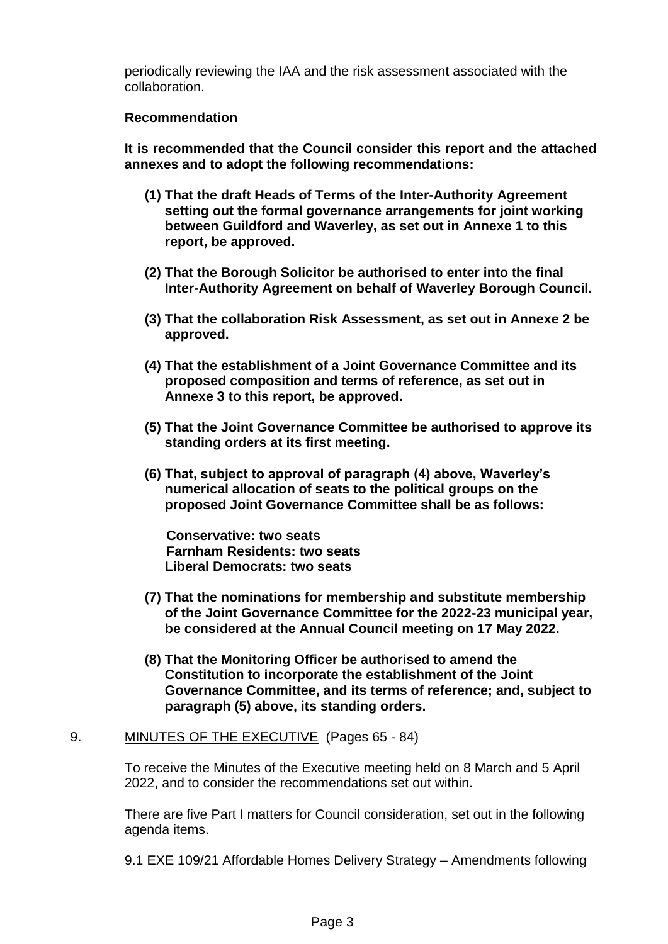periodically reviewing the IAA and the risk assessment associated with the collaboration.

## **Recommendation**

**It is recommended that the Council consider this report and the attached annexes and to adopt the following recommendations:**

- **(1) That the draft Heads of Terms of the Inter-Authority Agreement setting out the formal governance arrangements for joint working between Guildford and Waverley, as set out in Annexe 1 to this report, be approved.**
- **(2) That the Borough Solicitor be authorised to enter into the final Inter-Authority Agreement on behalf of Waverley Borough Council.**
- **(3) That the collaboration Risk Assessment, as set out in Annexe 2 be approved.**
- **(4) That the establishment of a Joint Governance Committee and its proposed composition and terms of reference, as set out in Annexe 3 to this report, be approved.**
- **(5) That the Joint Governance Committee be authorised to approve its standing orders at its first meeting.**
- **(6) That, subject to approval of paragraph (4) above, Waverley's numerical allocation of seats to the political groups on the proposed Joint Governance Committee shall be as follows:**

**Conservative: two seats Farnham Residents: two seats Liberal Democrats: two seats**

- **(7) That the nominations for membership and substitute membership of the Joint Governance Committee for the 2022-23 municipal year, be considered at the Annual Council meeting on 17 May 2022.**
- **(8) That the Monitoring Officer be authorised to amend the Constitution to incorporate the establishment of the Joint Governance Committee, and its terms of reference; and, subject to paragraph (5) above, its standing orders.**

# 9. MINUTES OF THE EXECUTIVE (Pages 65 - 84)

To receive the Minutes of the Executive meeting held on 8 March and 5 April 2022, and to consider the recommendations set out within.

There are five Part I matters for Council consideration, set out in the following agenda items.

9.1 EXE 109/21 Affordable Homes Delivery Strategy – Amendments following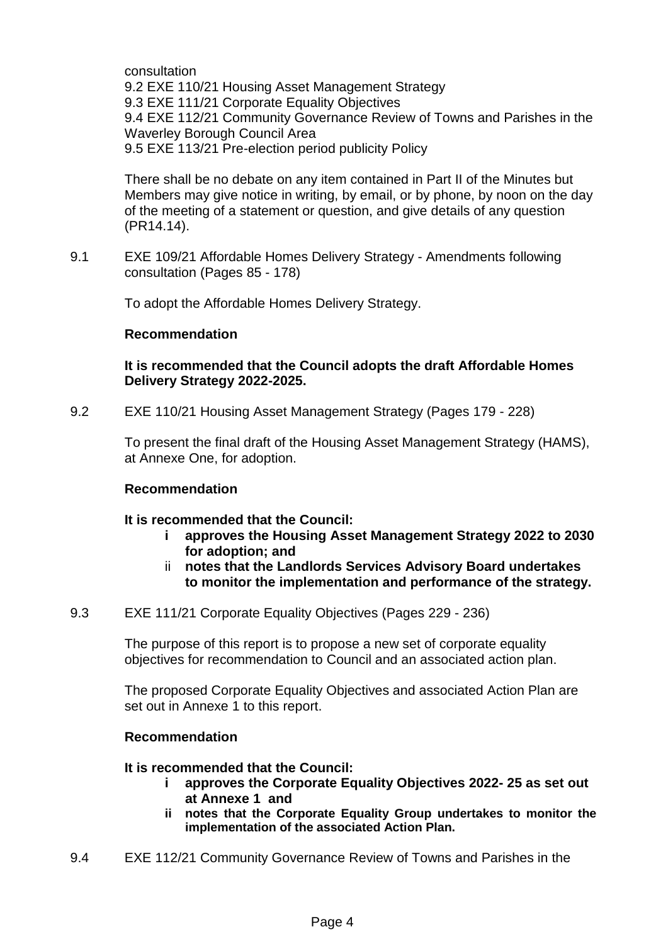consultation

9.2 EXE 110/21 Housing Asset Management Strategy 9.3 EXE 111/21 Corporate Equality Objectives 9.4 EXE 112/21 Community Governance Review of Towns and Parishes in the Waverley Borough Council Area 9.5 EXE 113/21 Pre-election period publicity Policy

There shall be no debate on any item contained in Part II of the Minutes but Members may give notice in writing, by email, or by phone, by noon on the day of the meeting of a statement or question, and give details of any question (PR14.14).

9.1 EXE 109/21 Affordable Homes Delivery Strategy - Amendments following consultation (Pages 85 - 178)

To adopt the Affordable Homes Delivery Strategy.

# **Recommendation**

# **It is recommended that the Council adopts the draft Affordable Homes Delivery Strategy 2022-2025.**

9.2 EXE 110/21 Housing Asset Management Strategy (Pages 179 - 228)

To present the final draft of the Housing Asset Management Strategy (HAMS), at Annexe One, for adoption.

# **Recommendation**

# **It is recommended that the Council:**

- **i approves the Housing Asset Management Strategy 2022 to 2030 for adoption; and**
- ii **notes that the Landlords Services Advisory Board undertakes to monitor the implementation and performance of the strategy.**
- 9.3 EXE 111/21 Corporate Equality Objectives (Pages 229 236)

The purpose of this report is to propose a new set of corporate equality objectives for recommendation to Council and an associated action plan.

The proposed Corporate Equality Objectives and associated Action Plan are set out in Annexe 1 to this report.

# **Recommendation**

**It is recommended that the Council:**

- **i approves the Corporate Equality Objectives 2022- 25 as set out at Annexe 1 and**
- **ii notes that the Corporate Equality Group undertakes to monitor the implementation of the associated Action Plan.**
- 9.4 EXE 112/21 Community Governance Review of Towns and Parishes in the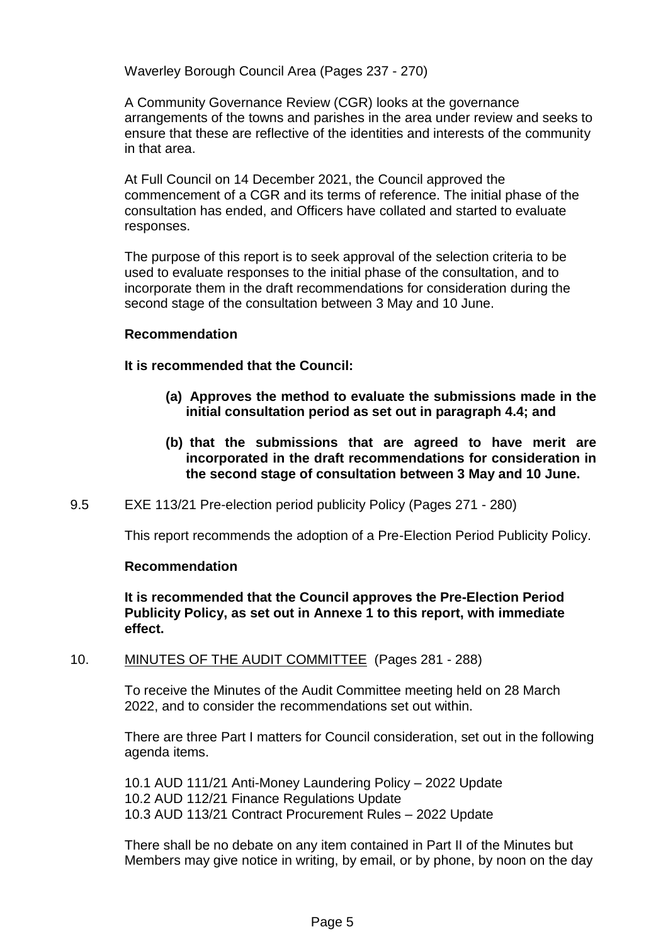Waverley Borough Council Area (Pages 237 - 270)

A Community Governance Review (CGR) looks at the governance arrangements of the towns and parishes in the area under review and seeks to ensure that these are reflective of the identities and interests of the community in that area.

At Full Council on 14 December 2021, the Council approved the commencement of a CGR and its terms of reference. The initial phase of the consultation has ended, and Officers have collated and started to evaluate responses.

The purpose of this report is to seek approval of the selection criteria to be used to evaluate responses to the initial phase of the consultation, and to incorporate them in the draft recommendations for consideration during the second stage of the consultation between 3 May and 10 June.

## **Recommendation**

## **It is recommended that the Council:**

- **(a) Approves the method to evaluate the submissions made in the initial consultation period as set out in paragraph 4.4; and**
- **(b) that the submissions that are agreed to have merit are incorporated in the draft recommendations for consideration in the second stage of consultation between 3 May and 10 June.**
- 9.5 EXE 113/21 Pre-election period publicity Policy (Pages 271 280)

This report recommends the adoption of a Pre-Election Period Publicity Policy.

#### **Recommendation**

**It is recommended that the Council approves the Pre-Election Period Publicity Policy, as set out in Annexe 1 to this report, with immediate effect.**

10. MINUTES OF THE AUDIT COMMITTEE (Pages 281 - 288)

To receive the Minutes of the Audit Committee meeting held on 28 March 2022, and to consider the recommendations set out within.

There are three Part I matters for Council consideration, set out in the following agenda items.

10.1 AUD 111/21 Anti-Money Laundering Policy – 2022 Update 10.2 AUD 112/21 Finance Regulations Update 10.3 AUD 113/21 Contract Procurement Rules – 2022 Update

There shall be no debate on any item contained in Part II of the Minutes but Members may give notice in writing, by email, or by phone, by noon on the day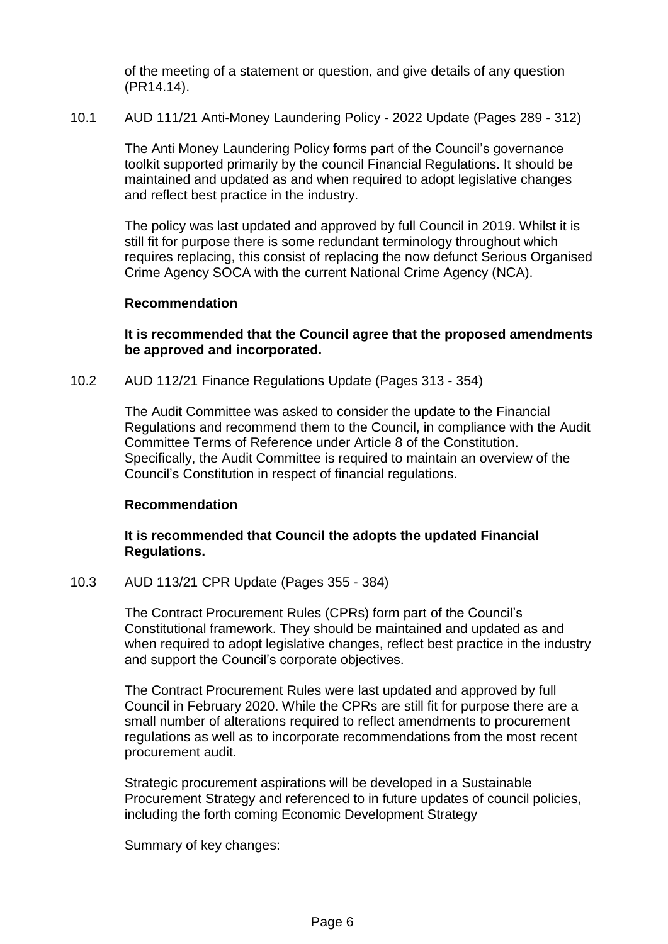of the meeting of a statement or question, and give details of any question (PR14.14).

10.1 AUD 111/21 Anti-Money Laundering Policy - 2022 Update (Pages 289 - 312)

The Anti Money Laundering Policy forms part of the Council's governance toolkit supported primarily by the council Financial Regulations. It should be maintained and updated as and when required to adopt legislative changes and reflect best practice in the industry.

The policy was last updated and approved by full Council in 2019. Whilst it is still fit for purpose there is some redundant terminology throughout which requires replacing, this consist of replacing the now defunct Serious Organised Crime Agency SOCA with the current National Crime Agency (NCA).

#### **Recommendation**

**It is recommended that the Council agree that the proposed amendments be approved and incorporated.**

10.2 AUD 112/21 Finance Regulations Update (Pages 313 - 354)

The Audit Committee was asked to consider the update to the Financial Regulations and recommend them to the Council, in compliance with the Audit Committee Terms of Reference under Article 8 of the Constitution. Specifically, the Audit Committee is required to maintain an overview of the Council's Constitution in respect of financial regulations.

#### **Recommendation**

# **It is recommended that Council the adopts the updated Financial Regulations.**

10.3 AUD 113/21 CPR Update (Pages 355 - 384)

The Contract Procurement Rules (CPRs) form part of the Council's Constitutional framework. They should be maintained and updated as and when required to adopt legislative changes, reflect best practice in the industry and support the Council's corporate objectives.

The Contract Procurement Rules were last updated and approved by full Council in February 2020. While the CPRs are still fit for purpose there are a small number of alterations required to reflect amendments to procurement regulations as well as to incorporate recommendations from the most recent procurement audit.

Strategic procurement aspirations will be developed in a Sustainable Procurement Strategy and referenced to in future updates of council policies, including the forth coming Economic Development Strategy

Summary of key changes: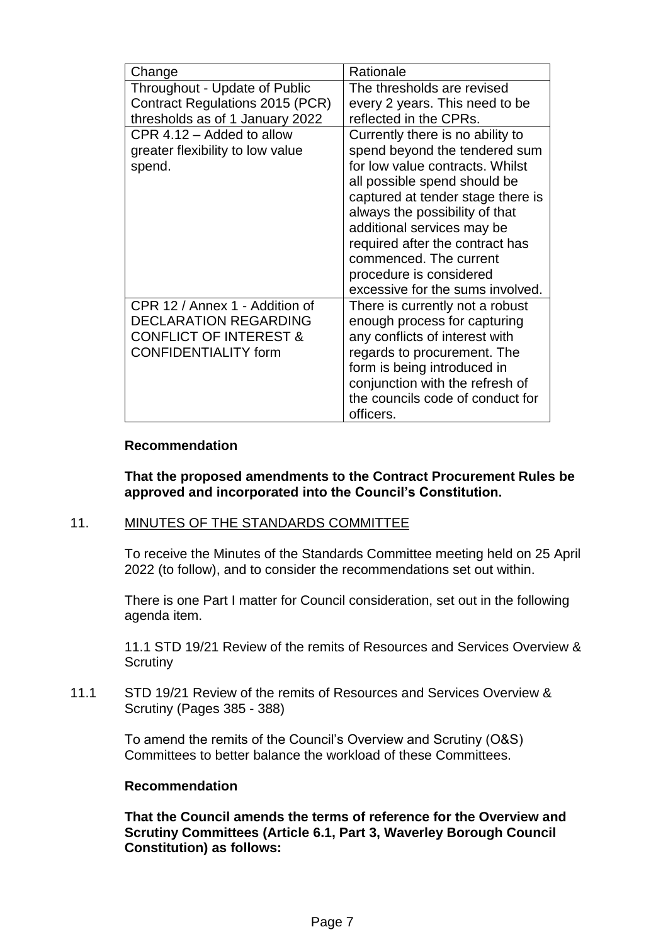| Change                            | Rationale                         |
|-----------------------------------|-----------------------------------|
| Throughout - Update of Public     | The thresholds are revised        |
| Contract Regulations 2015 (PCR)   | every 2 years. This need to be    |
| thresholds as of 1 January 2022   | reflected in the CPRs.            |
| CPR 4.12 – Added to allow         | Currently there is no ability to  |
| greater flexibility to low value  | spend beyond the tendered sum     |
| spend.                            | for low value contracts. Whilst   |
|                                   | all possible spend should be      |
|                                   | captured at tender stage there is |
|                                   | always the possibility of that    |
|                                   | additional services may be        |
|                                   | required after the contract has   |
|                                   | commenced. The current            |
|                                   | procedure is considered           |
|                                   | excessive for the sums involved.  |
| CPR 12 / Annex 1 - Addition of    | There is currently not a robust   |
| <b>DECLARATION REGARDING</b>      | enough process for capturing      |
| <b>CONFLICT OF INTEREST &amp;</b> | any conflicts of interest with    |
| <b>CONFIDENTIALITY form</b>       | regards to procurement. The       |
|                                   | form is being introduced in       |
|                                   | conjunction with the refresh of   |
|                                   | the councils code of conduct for  |
|                                   | officers.                         |

## **Recommendation**

**That the proposed amendments to the Contract Procurement Rules be approved and incorporated into the Council's Constitution.**

#### 11. MINUTES OF THE STANDARDS COMMITTEE

To receive the Minutes of the Standards Committee meeting held on 25 April 2022 (to follow), and to consider the recommendations set out within.

There is one Part I matter for Council consideration, set out in the following agenda item.

11.1 STD 19/21 Review of the remits of Resources and Services Overview & **Scrutiny** 

11.1 STD 19/21 Review of the remits of Resources and Services Overview & Scrutiny (Pages 385 - 388)

> To amend the remits of the Council's Overview and Scrutiny (O&S) Committees to better balance the workload of these Committees.

## **Recommendation**

**That the Council amends the terms of reference for the Overview and Scrutiny Committees (Article 6.1, Part 3, Waverley Borough Council Constitution) as follows:**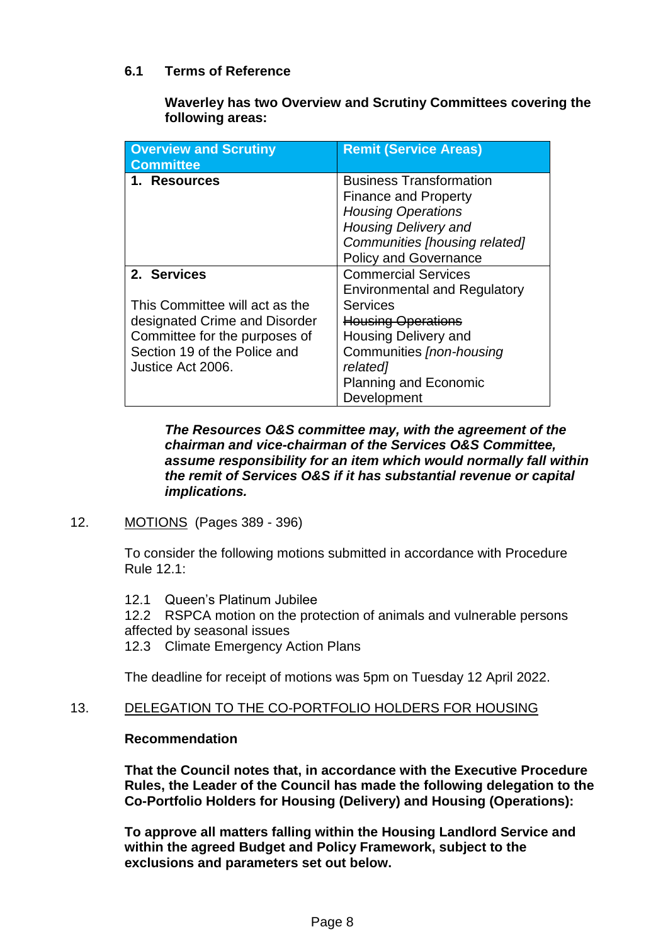# **6.1 Terms of Reference**

**Waverley has two Overview and Scrutiny Committees covering the following areas:**

| <b>Overview and Scrutiny</b><br><b>Committee</b>                                                                                                                     | <b>Remit (Service Areas)</b>                                                                                                                                                                                                            |
|----------------------------------------------------------------------------------------------------------------------------------------------------------------------|-----------------------------------------------------------------------------------------------------------------------------------------------------------------------------------------------------------------------------------------|
| 1. Resources                                                                                                                                                         | <b>Business Transformation</b><br><b>Finance and Property</b><br><b>Housing Operations</b><br><b>Housing Delivery and</b><br>Communities [housing related]<br><b>Policy and Governance</b>                                              |
| 2. Services<br>This Committee will act as the<br>designated Crime and Disorder<br>Committee for the purposes of<br>Section 19 of the Police and<br>Justice Act 2006. | <b>Commercial Services</b><br><b>Environmental and Regulatory</b><br><b>Services</b><br><b>Housing Operations</b><br><b>Housing Delivery and</b><br>Communities [non-housing<br>related]<br><b>Planning and Economic</b><br>Development |

*The Resources O&S committee may, with the agreement of the chairman and vice-chairman of the Services O&S Committee, assume responsibility for an item which would normally fall within the remit of Services O&S if it has substantial revenue or capital implications.*

12. MOTIONS (Pages 389 - 396)

To consider the following motions submitted in accordance with Procedure Rule 12.1:

- 12.1 Queen's Platinum Jubilee
- 12.2 RSPCA motion on the protection of animals and vulnerable persons affected by seasonal issues
- 12.3 Climate Emergency Action Plans

The deadline for receipt of motions was 5pm on Tuesday 12 April 2022.

#### 13. DELEGATION TO THE CO-PORTFOLIO HOLDERS FOR HOUSING

#### **Recommendation**

**That the Council notes that, in accordance with the Executive Procedure Rules, the Leader of the Council has made the following delegation to the Co-Portfolio Holders for Housing (Delivery) and Housing (Operations):**

**To approve all matters falling within the Housing Landlord Service and within the agreed Budget and Policy Framework, subject to the exclusions and parameters set out below.**